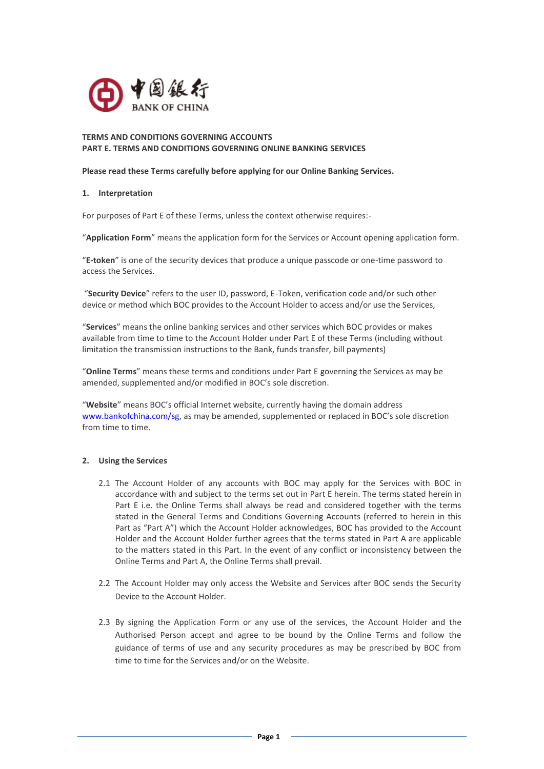

## **TERMS AND CONDITIONS GOVERNING ACCOUNTS PART E. TERMS AND CONDITIONS GOVERNING ONLINE BANKING SERVICES**

**Please read these Terms carefully before applying for our Online Banking Services.**

### **1. Interpretation**

For purposes of Part E of these Terms, unless the context otherwise requires:-

"**Application Form**" means the application form for the Services or Account opening application form.

"**E-token**" is one of the security devices that produce a unique passcode or one-time password to access the Services.

"**Security Device**" refers to the user ID, password, E-Token, verification code and/or such other device or method which BOC provides to the Account Holder to access and/or use the Services,

"**Services**" means the online banking services and other services which BOC provides or makes available from time to time to the Account Holder under Part E of these Terms (including without limitation the transmission instructions to the Bank, funds transfer, bill payments)

"**Online Terms**" means these terms and conditions under Part E governing the Services as may be amended, supplemented and/or modified in BOC's sole discretion.

"**Website**" means BOC's official Internet website, currently having the domain address www.bankofchina.com/sg, as may be amended, supplemented or replaced in BOC's sole discretion from time to time.

# **2. Using the Services**

- 2.1 The Account Holder of any accounts with BOC may apply for the Services with BOC in accordance with and subject to the terms set out in Part E herein. The terms stated herein in Part E i.e. the Online Terms shall always be read and considered together with the terms stated in the General Terms and Conditions Governing Accounts (referred to herein in this Part as "Part A") which the Account Holder acknowledges, BOC has provided to the Account Holder and the Account Holder further agrees that the terms stated in Part A are applicable to the matters stated in this Part. In the event of any conflict or inconsistency between the Online Terms and Part A, the Online Terms shall prevail.
- 2.2 The Account Holder may only access the Website and Services after BOC sends the Security Device to the Account Holder.
- 2.3 By signing the Application Form or any use of the services, the Account Holder and the Authorised Person accept and agree to be bound by the Online Terms and follow the guidance of terms of use and any security procedures as may be prescribed by BOC from time to time for the Services and/or on the Website.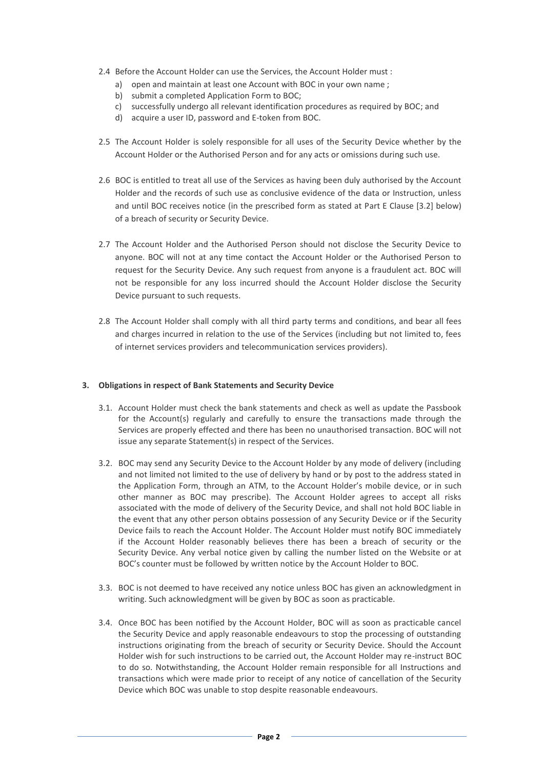- 2.4 Before the Account Holder can use the Services, the Account Holder must :
	- a) open and maintain at least one Account with BOC in your own name ;
	- b) submit a completed Application Form to BOC;
	- c) successfully undergo all relevant identification procedures as required by BOC; and
	- d) acquire a user ID, password and E-token from BOC.
- 2.5 The Account Holder is solely responsible for all uses of the Security Device whether by the Account Holder or the Authorised Person and for any acts or omissions during such use.
- 2.6 BOC is entitled to treat all use of the Services as having been duly authorised by the Account Holder and the records of such use as conclusive evidence of the data or Instruction, unless and until BOC receives notice (in the prescribed form as stated at Part E Clause [3.2] below) of a breach of security or Security Device.
- 2.7 The Account Holder and the Authorised Person should not disclose the Security Device to anyone. BOC will not at any time contact the Account Holder or the Authorised Person to request for the Security Device. Any such request from anyone is a fraudulent act. BOC will not be responsible for any loss incurred should the Account Holder disclose the Security Device pursuant to such requests.
- 2.8 The Account Holder shall comply with all third party terms and conditions, and bear all fees and charges incurred in relation to the use of the Services (including but not limited to, fees of internet services providers and telecommunication services providers).

### **3. Obligations in respect of Bank Statements and Security Device**

- 3.1. Account Holder must check the bank statements and check as well as update the Passbook for the Account(s) regularly and carefully to ensure the transactions made through the Services are properly effected and there has been no unauthorised transaction. BOC will not issue any separate Statement(s) in respect of the Services.
- 3.2. BOC may send any Security Device to the Account Holder by any mode of delivery (including and not limited not limited to the use of delivery by hand or by post to the address stated in the Application Form, through an ATM, to the Account Holder's mobile device, or in such other manner as BOC may prescribe). The Account Holder agrees to accept all risks associated with the mode of delivery of the Security Device, and shall not hold BOC liable in the event that any other person obtains possession of any Security Device or if the Security Device fails to reach the Account Holder. The Account Holder must notify BOC immediately if the Account Holder reasonably believes there has been a breach of security or the Security Device. Any verbal notice given by calling the number listed on the Website or at BOC's counter must be followed by written notice by the Account Holder to BOC.
- 3.3. BOC is not deemed to have received any notice unless BOC has given an acknowledgment in writing. Such acknowledgment will be given by BOC as soon as practicable.
- 3.4. Once BOC has been notified by the Account Holder, BOC will as soon as practicable cancel the Security Device and apply reasonable endeavours to stop the processing of outstanding instructions originating from the breach of security or Security Device. Should the Account Holder wish for such instructions to be carried out, the Account Holder may re-instruct BOC to do so. Notwithstanding, the Account Holder remain responsible for all Instructions and transactions which were made prior to receipt of any notice of cancellation of the Security Device which BOC was unable to stop despite reasonable endeavours.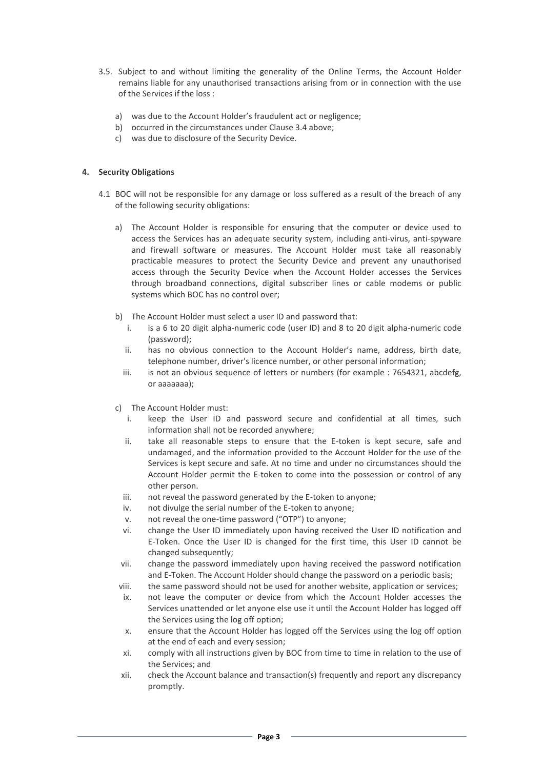- 3.5. Subject to and without limiting the generality of the Online Terms, the Account Holder remains liable for any unauthorised transactions arising from or in connection with the use of the Services if the loss :
	- a) was due to the Account Holder's fraudulent act or negligence;
	- b) occurred in the circumstances under Clause 3.4 above;
	- c) was due to disclosure of the Security Device.

### **4. Security Obligations**

- 4.1 BOC will not be responsible for any damage or loss suffered as a result of the breach of any of the following security obligations:
	- a) The Account Holder is responsible for ensuring that the computer or device used to access the Services has an adequate security system, including anti-virus, anti-spyware and firewall software or measures. The Account Holder must take all reasonably practicable measures to protect the Security Device and prevent any unauthorised access through the Security Device when the Account Holder accesses the Services through broadband connections, digital subscriber lines or cable modems or public systems which BOC has no control over;
	- b) The Account Holder must select a user ID and password that:
		- i. is a 6 to 20 digit alpha-numeric code (user ID) and 8 to 20 digit alpha-numeric code (password);
		- ii. has no obvious connection to the Account Holder's name, address, birth date, telephone number, driver's licence number, or other personal information;
		- iii. is not an obvious sequence of letters or numbers (for example : 7654321, abcdefg, or aaaaaaa);
	- c) The Account Holder must:
		- i. keep the User ID and password secure and confidential at all times, such information shall not be recorded anywhere;
		- ii. take all reasonable steps to ensure that the E-token is kept secure, safe and undamaged, and the information provided to the Account Holder for the use of the Services is kept secure and safe. At no time and under no circumstances should the Account Holder permit the E-token to come into the possession or control of any other person.
		- iii. not reveal the password generated by the E-token to anyone;
		- iv. not divulge the serial number of the E-token to anyone;
		- v. not reveal the one-time password ("OTP") to anyone;
		- vi. change the User ID immediately upon having received the User ID notification and E-Token. Once the User ID is changed for the first time, this User ID cannot be changed subsequently;
		- vii. change the password immediately upon having received the password notification and E-Token. The Account Holder should change the password on a periodic basis;
	- viii. the same password should not be used for another website, application or services;
	- ix. not leave the computer or device from which the Account Holder accesses the Services unattended or let anyone else use it until the Account Holder has logged off the Services using the log off option;
	- x. ensure that the Account Holder has logged off the Services using the log off option at the end of each and every session;
	- xi. comply with all instructions given by BOC from time to time in relation to the use of the Services; and
	- xii. check the Account balance and transaction(s) frequently and report any discrepancy promptly.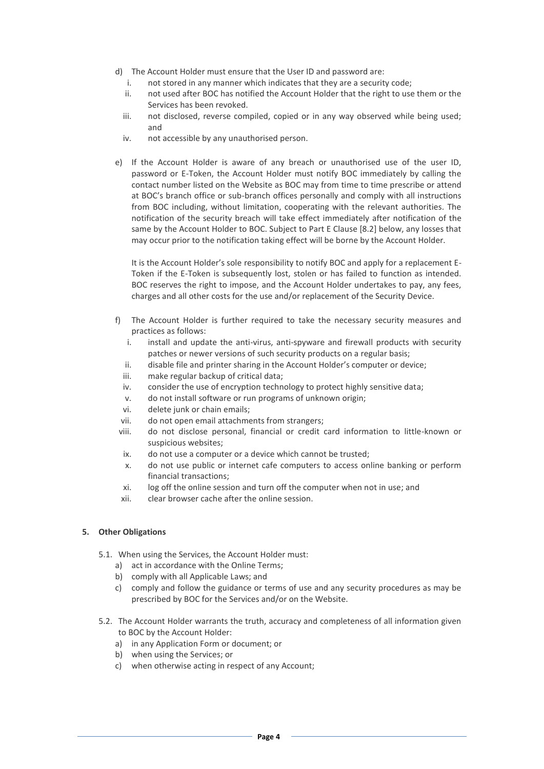- d) The Account Holder must ensure that the User ID and password are:
	- i. not stored in any manner which indicates that they are a security code;
	- ii. not used after BOC has notified the Account Holder that the right to use them or the Services has been revoked.
	- iii. not disclosed, reverse compiled, copied or in any way observed while being used; and
	- iv. not accessible by any unauthorised person.
- e) If the Account Holder is aware of any breach or unauthorised use of the user ID, password or E-Token, the Account Holder must notify BOC immediately by calling the contact number listed on the Website as BOC may from time to time prescribe or attend at BOC's branch office or sub-branch offices personally and comply with all instructions from BOC including, without limitation, cooperating with the relevant authorities. The notification of the security breach will take effect immediately after notification of the same by the Account Holder to BOC. Subject to Part E Clause [8.2] below, any losses that may occur prior to the notification taking effect will be borne by the Account Holder.

It is the Account Holder's sole responsibility to notify BOC and apply for a replacement E-Token if the E-Token is subsequently lost, stolen or has failed to function as intended. BOC reserves the right to impose, and the Account Holder undertakes to pay, any fees, charges and all other costs for the use and/or replacement of the Security Device.

- f) The Account Holder is further required to take the necessary security measures and practices as follows:
	- i. install and update the anti-virus, anti-spyware and firewall products with security patches or newer versions of such security products on a regular basis;
	- ii. disable file and printer sharing in the Account Holder's computer or device;
	- iii. make regular backup of critical data;
	- iv. consider the use of encryption technology to protect highly sensitive data;
	- v. do not install software or run programs of unknown origin;
	- vi. delete junk or chain emails;
	- vii. do not open email attachments from strangers;
- viii. do not disclose personal, financial or credit card information to little-known or suspicious websites;
- ix. do not use a computer or a device which cannot be trusted;
- x. do not use public or internet cafe computers to access online banking or perform financial transactions;
- xi. log off the online session and turn off the computer when not in use; and
- xii. clear browser cache after the online session.

#### **5. Other Obligations**

- 5.1. When using the Services, the Account Holder must:
	- a) act in accordance with the Online Terms;
	- b) comply with all Applicable Laws; and
	- c) comply and follow the guidance or terms of use and any security procedures as may be prescribed by BOC for the Services and/or on the Website.
- 5.2. The Account Holder warrants the truth, accuracy and completeness of all information given to BOC by the Account Holder:
	- a) in any Application Form or document; or
	- b) when using the Services; or
	- c) when otherwise acting in respect of any Account;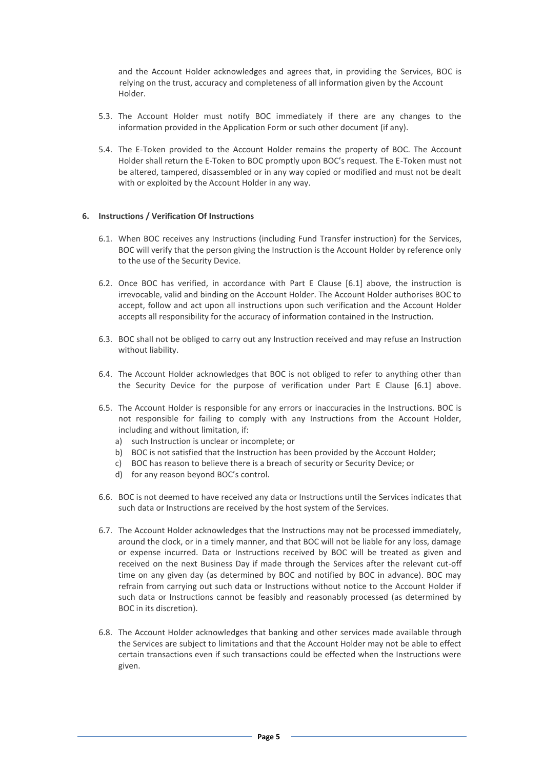and the Account Holder acknowledges and agrees that, in providing the Services, BOC is relying on the trust, accuracy and completeness of all information given by the Account Holder.

- 5.3. The Account Holder must notify BOC immediately if there are any changes to the information provided in the Application Form or such other document (if any).
- 5.4. The E-Token provided to the Account Holder remains the property of BOC. The Account Holder shall return the E-Token to BOC promptly upon BOC's request. The E-Token must not be altered, tampered, disassembled or in any way copied or modified and must not be dealt with or exploited by the Account Holder in any way.

# **6. Instructions / Verification Of Instructions**

- 6.1. When BOC receives any Instructions (including Fund Transfer instruction) for the Services, BOC will verify that the person giving the Instruction is the Account Holder by reference only to the use of the Security Device.
- 6.2. Once BOC has verified, in accordance with Part E Clause [6.1] above, the instruction is irrevocable, valid and binding on the Account Holder. The Account Holder authorises BOC to accept, follow and act upon all instructions upon such verification and the Account Holder accepts all responsibility for the accuracy of information contained in the Instruction.
- 6.3. BOC shall not be obliged to carry out any Instruction received and may refuse an Instruction without liability.
- 6.4. The Account Holder acknowledges that BOC is not obliged to refer to anything other than the Security Device for the purpose of verification under Part E Clause [6.1] above.
- 6.5. The Account Holder is responsible for any errors or inaccuracies in the Instructions. BOC is not responsible for failing to comply with any Instructions from the Account Holder, including and without limitation, if:
	- a) such Instruction is unclear or incomplete; or
	- b) BOC is not satisfied that the Instruction has been provided by the Account Holder;
	- c) BOC has reason to believe there is a breach of security or Security Device; or
	- d) for any reason beyond BOC's control.
- 6.6. BOC is not deemed to have received any data or Instructions until the Services indicates that such data or Instructions are received by the host system of the Services.
- 6.7. The Account Holder acknowledges that the Instructions may not be processed immediately, around the clock, or in a timely manner, and that BOC will not be liable for any loss, damage or expense incurred. Data or Instructions received by BOC will be treated as given and received on the next Business Day if made through the Services after the relevant cut-off time on any given day (as determined by BOC and notified by BOC in advance). BOC may refrain from carrying out such data or Instructions without notice to the Account Holder if such data or Instructions cannot be feasibly and reasonably processed (as determined by BOC in its discretion).
- 6.8. The Account Holder acknowledges that banking and other services made available through the Services are subject to limitations and that the Account Holder may not be able to effect certain transactions even if such transactions could be effected when the Instructions were given.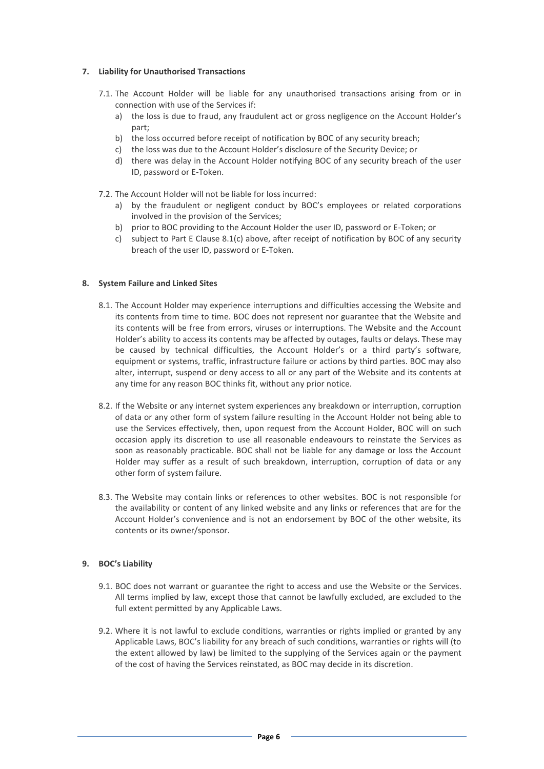# **7. Liability for Unauthorised Transactions**

- 7.1. The Account Holder will be liable for any unauthorised transactions arising from or in connection with use of the Services if:
	- a) the loss is due to fraud, any fraudulent act or gross negligence on the Account Holder's part;
	- b) the loss occurred before receipt of notification by BOC of any security breach;
	- c) the loss was due to the Account Holder's disclosure of the Security Device; or
	- d) there was delay in the Account Holder notifying BOC of any security breach of the user ID, password or E-Token.
- 7.2. The Account Holder will not be liable for loss incurred:
	- a) by the fraudulent or negligent conduct by BOC's employees or related corporations involved in the provision of the Services;
	- b) prior to BOC providing to the Account Holder the user ID, password or E-Token; or
	- c) subject to Part E Clause 8.1(c) above, after receipt of notification by BOC of any security breach of the user ID, password or E-Token.

#### **8. System Failure and Linked Sites**

- 8.1. The Account Holder may experience interruptions and difficulties accessing the Website and its contents from time to time. BOC does not represent nor guarantee that the Website and its contents will be free from errors, viruses or interruptions. The Website and the Account Holder's ability to access its contents may be affected by outages, faults or delays. These may be caused by technical difficulties, the Account Holder's or a third party's software, equipment or systems, traffic, infrastructure failure or actions by third parties. BOC may also alter, interrupt, suspend or deny access to all or any part of the Website and its contents at any time for any reason BOC thinks fit, without any prior notice.
- 8.2. If the Website or any internet system experiences any breakdown or interruption, corruption of data or any other form of system failure resulting in the Account Holder not being able to use the Services effectively, then, upon request from the Account Holder, BOC will on such occasion apply its discretion to use all reasonable endeavours to reinstate the Services as soon as reasonably practicable. BOC shall not be liable for any damage or loss the Account Holder may suffer as a result of such breakdown, interruption, corruption of data or any other form of system failure.
- 8.3. The Website may contain links or references to other websites. BOC is not responsible for the availability or content of any linked website and any links or references that are for the Account Holder's convenience and is not an endorsement by BOC of the other website, its contents or its owner/sponsor.

#### **9. BOC's Liability**

- 9.1. BOC does not warrant or guarantee the right to access and use the Website or the Services. All terms implied by law, except those that cannot be lawfully excluded, are excluded to the full extent permitted by any Applicable Laws.
- 9.2. Where it is not lawful to exclude conditions, warranties or rights implied or granted by any Applicable Laws, BOC's liability for any breach of such conditions, warranties or rights will (to the extent allowed by law) be limited to the supplying of the Services again or the payment of the cost of having the Services reinstated, as BOC may decide in its discretion.